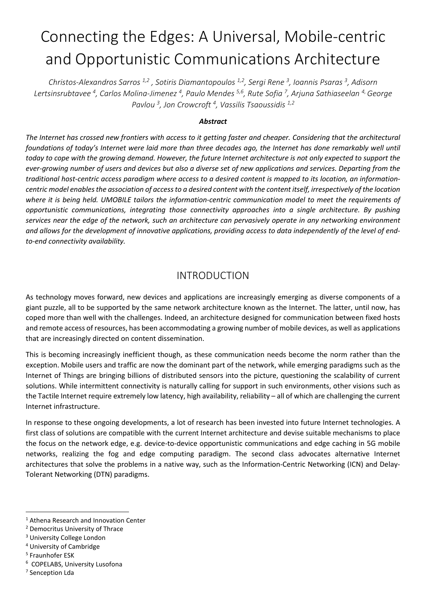# Connecting the Edges: A Universal, Mobile-centric and Opportunistic Communications Architecture

*Christos-Alexandros Sarros 1,2 , Sotiris Diamantopoulos 1,2, Sergi Rene <sup>3</sup> , Ioannis Psaras <sup>3</sup> , Adisorn Lertsinsrubtavee <sup>4</sup> , Carlos Molina-Jimenez <sup>4</sup> , Paulo Mendes 5,6, Rute Sofia <sup>7</sup> , Arjuna Sathiaseelan 4,George Pavlou <sup>3</sup> , Jon Crowcroft <sup>4</sup> , Vassilis Tsaoussidis 1,2*

#### *Abstract*

*The Internet has crossed new frontiers with access to it getting faster and cheaper. Considering that the architectural foundations of today's Internet were laid more than three decades ago, the Internet has done remarkably well until today to cope with the growing demand. However, the future Internet architecture is not only expected to support the ever-growing number of users and devices but also a diverse set of new applications and services. Departing from the traditional host-centric access paradigm where access to a desired content is mapped to its location, an informationcentric model enables the association of access to a desired content with the content itself, irrespectively of the location where it is being held. UMOBILE tailors the information-centric communication model to meet the requirements of opportunistic communications, integrating those connectivity approaches into a single architecture. By pushing services near the edge of the network, such an architecture can pervasively operate in any networking environment and allows for the development of innovative applications, providing access to data independently of the level of endto-end connectivity availability.*

# INTRODUCTION

As technology moves forward, new devices and applications are increasingly emerging as diverse components of a giant puzzle, all to be supported by the same network architecture known as the Internet. The latter, until now, has coped more than well with the challenges. Indeed, an architecture designed for communication between fixed hosts and remote access of resources, has been accommodating a growing number of mobile devices, as well as applications that are increasingly directed on content dissemination.

This is becoming increasingly inefficient though, as these communication needs become the norm rather than the exception. Mobile users and traffic are now the dominant part of the network, while emerging paradigms such as the Internet of Things are bringing billions of distributed sensors into the picture, questioning the scalability of current solutions. While intermittent connectivity is naturally calling for support in such environments, other visions such as the Tactile Internet require extremely low latency, high availability, reliability – all of which are challenging the current Internet infrastructure.

In response to these ongoing developments, a lot of research has been invested into future Internet technologies. A first class of solutions are compatible with the current Internet architecture and devise suitable mechanisms to place the focus on the network edge, e.g. device-to-device opportunistic communications and edge caching in 5G mobile networks, realizing the fog and edge computing paradigm. The second class advocates alternative Internet architectures that solve the problems in a native way, such as the Information-Centric Networking (ICN) and Delay-Tolerant Networking (DTN) paradigms.

<sup>1</sup> Athena Research and Innovation Center

<sup>2</sup> Democritus University of Thrace

<sup>3</sup> University College London

<sup>4</sup> University of Cambridge

<sup>5</sup> Fraunhofer ESK

<sup>6</sup> COPELABS, University Lusofona

<sup>7</sup> Senception Lda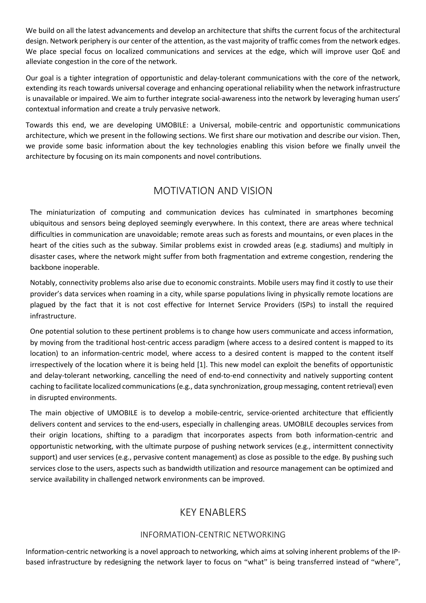We build on all the latest advancements and develop an architecture that shifts the current focus of the architectural design. Network periphery is our center of the attention, as the vast majority of traffic comes from the network edges. We place special focus on localized communications and services at the edge, which will improve user QoE and alleviate congestion in the core of the network.

Our goal is a tighter integration of opportunistic and delay-tolerant communications with the core of the network, extending its reach towards universal coverage and enhancing operational reliability when the network infrastructure is unavailable or impaired. We aim to further integrate social-awareness into the network by leveraging human users' contextual information and create a truly pervasive network.

Towards this end, we are developing UMOBILE: a Universal, mobile-centric and opportunistic communications architecture, which we present in the following sections. We first share our motivation and describe our vision. Then, we provide some basic information about the key technologies enabling this vision before we finally unveil the architecture by focusing on its main components and novel contributions.

# MOTIVATION AND VISION

The miniaturization of computing and communication devices has culminated in smartphones becoming ubiquitous and sensors being deployed seemingly everywhere. In this context, there are areas where technical difficulties in communication are unavoidable; remote areas such as forests and mountains, or even places in the heart of the cities such as the subway. Similar problems exist in crowded areas (e.g. stadiums) and multiply in disaster cases, where the network might suffer from both fragmentation and extreme congestion, rendering the backbone inoperable.

Notably, connectivity problems also arise due to economic constraints. Mobile users may find it costly to use their provider's data services when roaming in a city, while sparse populations living in physically remote locations are plagued by the fact that it is not cost effective for Internet Service Providers (ISPs) to install the required infrastructure.

One potential solution to these pertinent problems is to change how users communicate and access information, by moving from the traditional host-centric access paradigm (where access to a desired content is mapped to its location) to an information-centric model, where access to a desired content is mapped to the content itself irrespectively of the location where it is being held [1]. This new model can exploit the benefits of opportunistic and delay-tolerant networking, cancelling the need of end-to-end connectivity and natively supporting content caching to facilitate localized communications (e.g., data synchronization, group messaging, content retrieval) even in disrupted environments.

The main objective of UMOBILE is to develop a mobile-centric, service-oriented architecture that efficiently delivers content and services to the end-users, especially in challenging areas. UMOBILE decouples services from their origin locations, shifting to a paradigm that incorporates aspects from both information-centric and opportunistic networking, with the ultimate purpose of pushing network services (e.g., intermittent connectivity support) and user services (e.g., pervasive content management) as close as possible to the edge. By pushing such services close to the users, aspects such as bandwidth utilization and resource management can be optimized and service availability in challenged network environments can be improved.

# KEY ENABLERS

## INFORMATION-CENTRIC NETWORKING

Information-centric networking is a novel approach to networking, which aims at solving inherent problems of the IPbased infrastructure by redesigning the network layer to focus on "what" is being transferred instead of "where",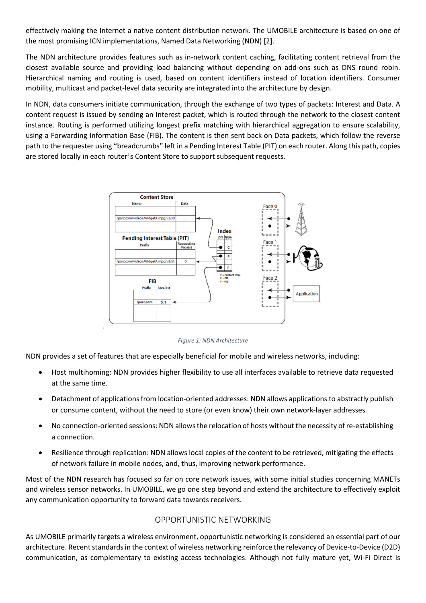effectively making the Internet a native content distribution network. The UMOBILE architecture is based on one of the most promising ICN implementations, Named Data Networking (NDN) [2].

The NDN architecture provides features such as in-network content caching, facilitating content retrieval from the closest available source and providing load balancing without depending on add-ons such as DNS round robin. Hierarchical naming and routing is used, based on content identifiers instead of location identifiers. Consumer mobility, multicast and packet-level data security are integrated into the architecture by design.

In NDN, data consumers initiate communication, through the exchange of two types of packets: Interest and Data. A content request is issued by sending an Interest packet, which is routed through the network to the closest content instance. Routing is performed utilizing longest prefix matching with hierarchical aggregation to ensure scalability, using a Forwarding Information Base (FIB). The content is then sent back on Data packets, which follow the reverse path to the requester using "breadcrumbs" left in a Pending Interest Table (PIT) on each router. Along this path, copies are stored locally in each router's Content Store to support subsequent requests.



*Figure 1: NDN Architecture*

NDN provides a set of features that are especially beneficial for mobile and wireless networks, including:

- Host multihoming: NDN provides higher flexibility to use all interfaces available to retrieve data requested at the same time.
- Detachment of applications from location-oriented addresses: NDN allows applications to abstractly publish or consume content, without the need to store (or even know) their own network-layer addresses.
- No connection-oriented sessions: NDN allows the relocation of hosts without the necessity of re-establishing a connection.
- Resilience through replication: NDN allows local copies of the content to be retrieved, mitigating the effects of network failure in mobile nodes, and, thus, improving network performance.

Most of the NDN research has focused so far on core network issues, with some initial studies concerning MANETs and wireless sensor networks. In UMOBILE, we go one step beyond and extend the architecture to effectively exploit any communication opportunity to forward data towards receivers.

### OPPORTUNISTIC NETWORKING

As UMOBILE primarily targets a wireless environment, opportunistic networking is considered an essential part of our architecture. Recent standards in the context of wireless networking reinforce the relevancy of Device-to-Device (D2D) communication, as complementary to existing access technologies. Although not fully mature yet, Wi-Fi Direct is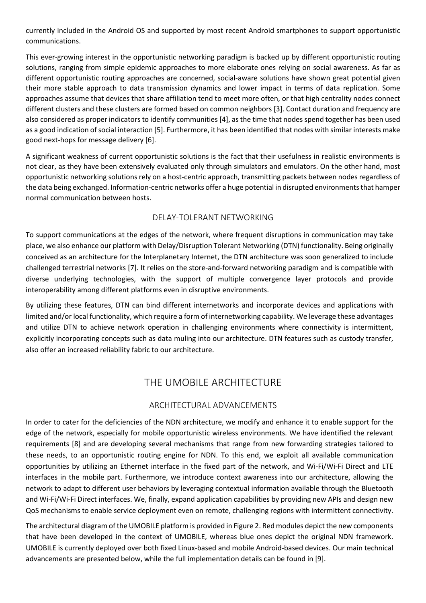currently included in the Android OS and supported by most recent Android smartphones to support opportunistic communications.

This ever-growing interest in the opportunistic networking paradigm is backed up by different opportunistic routing solutions, ranging from simple epidemic approaches to more elaborate ones relying on social awareness. As far as different opportunistic routing approaches are concerned, social-aware solutions have shown great potential given their more stable approach to data transmission dynamics and lower impact in terms of data replication. Some approaches assume that devices that share affiliation tend to meet more often, or that high centrality nodes connect different clusters and these clusters are formed based on common neighbors [3]. Contact duration and frequency are also considered as proper indicators to identify communities [4], as the time that nodes spend together has been used as a good indication of social interaction [5]. Furthermore, it has been identified that nodes with similar interests make good next-hops for message delivery [6].

A significant weakness of current opportunistic solutions is the fact that their usefulness in realistic environments is not clear, as they have been extensively evaluated only through simulators and emulators. On the other hand, most opportunistic networking solutions rely on a host-centric approach, transmitting packets between nodes regardless of the data being exchanged. Information-centric networks offer a huge potential in disrupted environments that hamper normal communication between hosts.

### DELAY-TOLERANT NETWORKING

To support communications at the edges of the network, where frequent disruptions in communication may take place, we also enhance our platform with Delay/Disruption Tolerant Networking (DTN) functionality. Being originally conceived as an architecture for the Interplanetary Internet, the DTN architecture was soon generalized to include challenged terrestrial networks [7]. It relies on the store-and-forward networking paradigm and is compatible with diverse underlying technologies, with the support of multiple convergence layer protocols and provide interoperability among different platforms even in disruptive environments.

By utilizing these features, DTN can bind different internetworks and incorporate devices and applications with limited and/or local functionality, which require a form of internetworking capability. We leverage these advantages and utilize DTN to achieve network operation in challenging environments where connectivity is intermittent, explicitly incorporating concepts such as data muling into our architecture. DTN features such as custody transfer, also offer an increased reliability fabric to our architecture.

# THE UMOBILE ARCHITECTURE

## ARCHITECTURAL ADVANCEMENTS

In order to cater for the deficiencies of the NDN architecture, we modify and enhance it to enable support for the edge of the network, especially for mobile opportunistic wireless environments. We have identified the relevant requirements [8] and are developing several mechanisms that range from new forwarding strategies tailored to these needs, to an opportunistic routing engine for NDN. To this end, we exploit all available communication opportunities by utilizing an Ethernet interface in the fixed part of the network, and Wi-Fi/Wi-Fi Direct and LTE interfaces in the mobile part. Furthermore, we introduce context awareness into our architecture, allowing the network to adapt to different user behaviors by leveraging contextual information available through the Bluetooth and Wi-Fi/Wi-Fi Direct interfaces. We, finally, expand application capabilities by providing new APIs and design new QoS mechanisms to enable service deployment even on remote, challenging regions with intermittent connectivity.

The architectural diagram of the UMOBILE platform is provided in Figure 2. Red modules depict the new components that have been developed in the context of UMOBILE, whereas blue ones depict the original NDN framework. UMOBILE is currently deployed over both fixed Linux-based and mobile Android-based devices. Our main technical advancements are presented below, while the full implementation details can be found in [9].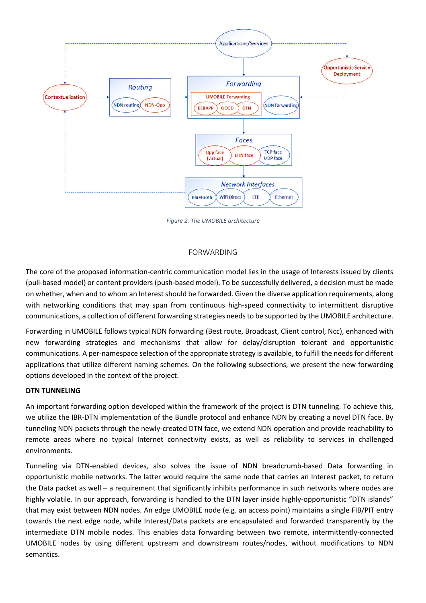

*Figure 2. The UMOBILE architecture*

### FORWARDING

The core of the proposed information-centric communication model lies in the usage of Interests issued by clients (pull-based model) or content providers (push-based model). To be successfully delivered, a decision must be made on whether, when and to whom an Interest should be forwarded. Given the diverse application requirements, along with networking conditions that may span from continuous high-speed connectivity to intermittent disruptive communications, a collection of different forwarding strategies needs to be supported by the UMOBILE architecture.

Forwarding in UMOBILE follows typical NDN forwarding (Best route, Broadcast, Client control, Ncc), enhanced with new forwarding strategies and mechanisms that allow for delay/disruption tolerant and opportunistic communications. A per-namespace selection of the appropriate strategy is available, to fulfill the needs for different applications that utilize different naming schemes. On the following subsections, we present the new forwarding options developed in the context of the project.

#### **DTN TUNNELING**

An important forwarding option developed within the framework of the project is DTN tunneling. To achieve this, we utilize the IBR-DTN implementation of the Bundle protocol and enhance NDN by creating a novel DTN face. By tunneling NDN packets through the newly-created DTN face, we extend NDN operation and provide reachability to remote areas where no typical Internet connectivity exists, as well as reliability to services in challenged environments.

Tunneling via DTN-enabled devices, also solves the issue of NDN breadcrumb-based Data forwarding in opportunistic mobile networks. The latter would require the same node that carries an Interest packet, to return the Data packet as well – a requirement that significantly inhibits performance in such networks where nodes are highly volatile. In our approach, forwarding is handled to the DTN layer inside highly-opportunistic "DTN islands" that may exist between NDN nodes. An edge UMOBILE node (e.g. an access point) maintains a single FIB/PIT entry towards the next edge node, while Interest/Data packets are encapsulated and forwarded transparently by the intermediate DTN mobile nodes. This enables data forwarding between two remote, intermittently-connected UMOBILE nodes by using different upstream and downstream routes/nodes, without modifications to NDN semantics.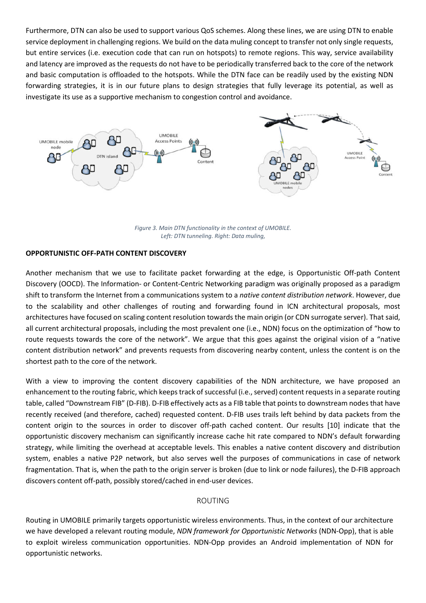Furthermore, DTN can also be used to support various QoS schemes. Along these lines, we are using DTN to enable service deployment in challenging regions. We build on the data muling concept to transfer not only single requests, but entire services (i.e. execution code that can run on hotspots) to remote regions. This way, service availability and latency are improved as the requests do not have to be periodically transferred back to the core of the network and basic computation is offloaded to the hotspots. While the DTN face can be readily used by the existing NDN forwarding strategies, it is in our future plans to design strategies that fully leverage its potential, as well as investigate its use as a supportive mechanism to congestion control and avoidance.



*Figure 3. Main DTN functionality in the context of UMOBILE. Left: DTN tunneling. Right: Data muling,*

#### **OPPORTUNISTIC OFF-PATH CONTENT DISCOVERY**

Another mechanism that we use to facilitate packet forwarding at the edge, is Opportunistic Off-path Content Discovery (OOCD). The Information- or Content-Centric Networking paradigm was originally proposed as a paradigm shift to transform the Internet from a communications system to a *native content distribution network*. However, due to the scalability and other challenges of routing and forwarding found in ICN architectural proposals, most architectures have focused on scaling content resolution towards the main origin (or CDN surrogate server). That said, all current architectural proposals, including the most prevalent one (i.e., NDN) focus on the optimization of "how to route requests towards the core of the network". We argue that this goes against the original vision of a "native content distribution network" and prevents requests from discovering nearby content, unless the content is on the shortest path to the core of the network.

With a view to improving the content discovery capabilities of the NDN architecture, we have proposed an enhancement to the routing fabric, which keeps track of successful (i.e., served) content requests in a separate routing table, called "Downstream FIB" (D-FIB). D-FIB effectively acts as a FIB table that points to downstream nodes that have recently received (and therefore, cached) requested content. D-FIB uses trails left behind by data packets from the content origin to the sources in order to discover off-path cached content. Our results [10] indicate that the opportunistic discovery mechanism can significantly increase cache hit rate compared to NDN's default forwarding strategy, while limiting the overhead at acceptable levels. This enables a native content discovery and distribution system, enables a native P2P network, but also serves well the purposes of communications in case of network fragmentation. That is, when the path to the origin server is broken (due to link or node failures), the D-FIB approach discovers content off-path, possibly stored/cached in end-user devices.

#### ROUTING

Routing in UMOBILE primarily targets opportunistic wireless environments. Thus, in the context of our architecture we have developed a relevant routing module, *NDN framework for Opportunistic Networks* (NDN-Opp), that is able to exploit wireless communication opportunities. NDN-Opp provides an Android implementation of NDN for opportunistic networks.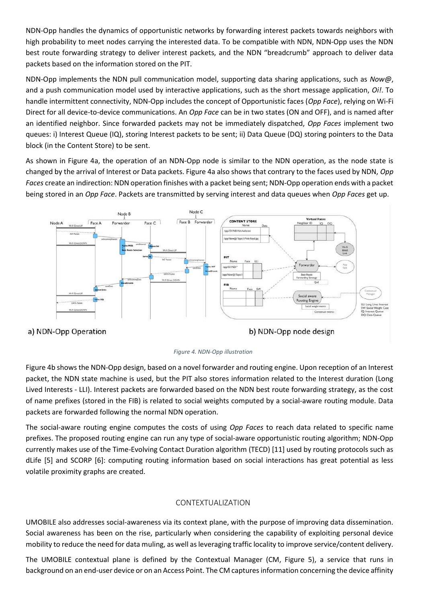NDN-Opp handles the dynamics of opportunistic networks by forwarding interest packets towards neighbors with high probability to meet nodes carrying the interested data. To be compatible with NDN, NDN-Opp uses the NDN best route forwarding strategy to deliver interest packets, and the NDN "breadcrumb" approach to deliver data packets based on the information stored on the PIT.

NDN-Opp implements the NDN pull communication model, supporting data sharing applications, such as *Now@*, and a push communication model used by interactive applications, such as the short message application, *Oi!*. To handle intermittent connectivity, NDN-Opp includes the concept of Opportunistic faces (*Opp Face*), relying on Wi-Fi Direct for all device-to-device communications. An *Opp Face* can be in two states (ON and OFF), and is named after an identified neighbor. Since forwarded packets may not be immediately dispatched, *Opp Faces* implement two queues: i) Interest Queue (IQ), storing Interest packets to be sent; ii) Data Queue (DQ) storing pointers to the Data block (in the Content Store) to be sent.

As shown in Figure 4a, the operation of an NDN-Opp node is similar to the NDN operation, as the node state is changed by the arrival of Interest or Data packets. Figure 4a also shows that contrary to the faces used by NDN, *Opp Faces* create an indirection: NDN operation finishes with a packet being sent; NDN-Opp operation ends with a packet being stored in an *Opp Face*. Packets are transmitted by serving interest and data queues when *Opp Faces* get up.



### *Figure 4. NDN-Opp illustration*

Figure 4b shows the NDN-Opp design, based on a novel forwarder and routing engine. Upon reception of an Interest packet, the NDN state machine is used, but the PIT also stores information related to the Interest duration (Long Lived Interests - LLI). Interest packets are forwarded based on the NDN best route forwarding strategy, as the cost of name prefixes (stored in the FIB) is related to social weights computed by a social-aware routing module. Data packets are forwarded following the normal NDN operation.

The social-aware routing engine computes the costs of using *Opp Faces* to reach data related to specific name prefixes. The proposed routing engine can run any type of social-aware opportunistic routing algorithm; NDN-Opp currently makes use of the Time-Evolving Contact Duration algorithm (TECD) [11] used by routing protocols such as dLife [5] and SCORP [6]: computing routing information based on social interactions has great potential as less volatile proximity graphs are created.

#### CONTEXTUALIZATION

UMOBILE also addresses social-awareness via its context plane, with the purpose of improving data dissemination. Social awareness has been on the rise, particularly when considering the capability of exploiting personal device mobility to reduce the need for data muling, as well as leveraging traffic locality to improve service/content delivery.

The UMOBILE contextual plane is defined by the Contextual Manager (CM, Figure 5), a service that runs in background on an end-user device or on an Access Point. The CM captures information concerning the device affinity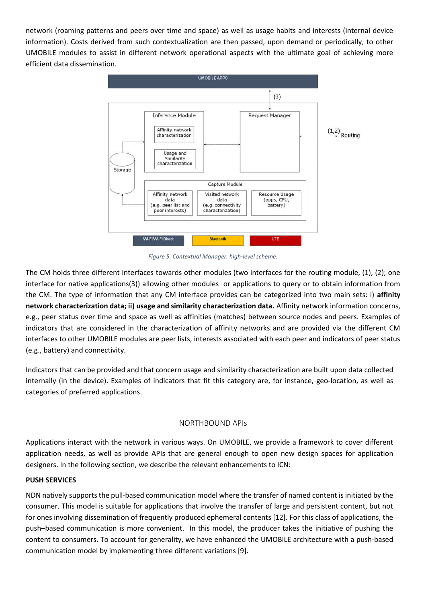network (roaming patterns and peers over time and space) as well as usage habits and interests (internal device information). Costs derived from such contextualization are then passed, upon demand or periodically, to other UMOBILE modules to assist in different network operational aspects with the ultimate goal of achieving more efficient data dissemination.



*Figure 5. Contextual Manager, high-level scheme.*

The CM holds three different interfaces towards other modules (two interfaces for the routing module, (1), (2); one interface for native applications(3)) allowing other modules or applications to query or to obtain information from the CM. The type of information that any CM interface provides can be categorized into two main sets: i) **affinity network characterization data; ii) usage and similarity characterization data.** Affinity network information concerns, e.g., peer status over time and space as well as affinities (matches) between source nodes and peers. Examples of indicators that are considered in the characterization of affinity networks and are provided via the different CM interfaces to other UMOBILE modules are peer lists, interests associated with each peer and indicators of peer status (e.g., battery) and connectivity.

Indicators that can be provided and that concern usage and similarity characterization are built upon data collected internally (in the device). Examples of indicators that fit this category are, for instance, geo-location, as well as categories of preferred applications.

### NORTHBOUND APIs

Applications interact with the network in various ways. On UMOBILE, we provide a framework to cover different application needs, as well as provide APIs that are general enough to open new design spaces for application designers. In the following section, we describe the relevant enhancements to ICN:

#### **PUSH SERVICES**

NDN natively supports the pull-based communication model where the transfer of named content is initiated by the consumer. This model is suitable for applications that involve the transfer of large and persistent content, but not for ones involving dissemination of frequently produced ephemeral contents [12]. For this class of applications, the push–based communication is more convenient. In this model, the producer takes the initiative of pushing the content to consumers. To account for generality, we have enhanced the UMOBILE architecture with a push-based communication model by implementing three different variations [9].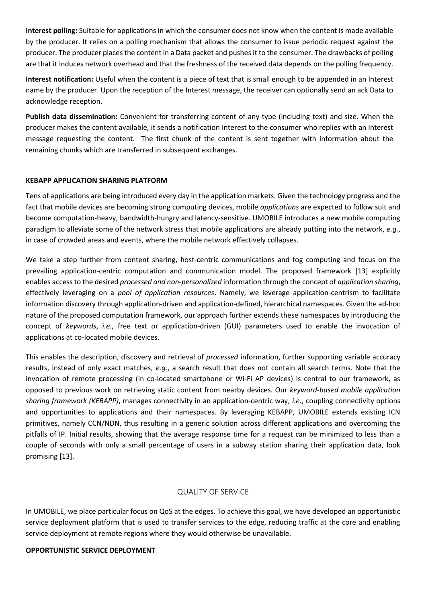**Interest polling:** Suitable for applications in which the consumer does not know when the content is made available by the producer. It relies on a polling mechanism that allows the consumer to issue periodic request against the producer. The producer places the content in a Data packet and pushes it to the consumer. The drawbacks of polling are that it induces network overhead and that the freshness of the received data depends on the polling frequency.

**Interest notification:** Useful when the content is a piece of text that is small enough to be appended in an Interest name by the producer. Upon the reception of the Interest message, the receiver can optionally send an ack Data to acknowledge reception.

**Publish data dissemination:** Convenient for transferring content of any type (including text) and size. When the producer makes the content available, it sends a notification Interest to the consumer who replies with an Interest message requesting the content. The first chunk of the content is sent together with information about the remaining chunks which are transferred in subsequent exchanges.

#### **KEBAPP APPLICATION SHARING PLATFORM**

Tens of applications are being introduced every day in the application markets. Given the technology progress and the fact that mobile devices are becoming strong computing devices, mobile *applications* are expected to follow suit and become computation-heavy, bandwidth-hungry and latency-sensitive. UMOBILE introduces a new mobile computing paradigm to alleviate some of the network stress that mobile applications are already putting into the network, *e.g.*, in case of crowded areas and events, where the mobile network effectively collapses.

We take a step further from content sharing, host-centric communications and fog computing and focus on the prevailing application-centric computation and communication model. The proposed framework [13] explicitly enables access to the desired *processed and non-personalized* information through the concept of *application sharing*, effectively leveraging on a *pool of application resources*. Namely, we leverage application-centrism to facilitate information discovery through application-driven and application-defined, hierarchical namespaces. Given the ad-hoc nature of the proposed computation framework, our approach further extends these namespaces by introducing the concept of *keywords*, *i.e.*, free text or application-driven (GUI) parameters used to enable the invocation of applications at co-located mobile devices.

This enables the description, discovery and retrieval of *processed* information, further supporting variable accuracy results, instead of only exact matches, *e.g.*, a search result that does not contain all search terms. Note that the invocation of remote processing (in co-located smartphone or Wi-Fi AP devices) is central to our framework, as opposed to previous work on retrieving static content from nearby devices. Our *keyword-based mobile application sharing framework (KEBAPP)*, manages connectivity in an application-centric way, *i.e.*, coupling connectivity options and opportunities to applications and their namespaces. By leveraging KEBAPP, UMOBILE extends existing ICN primitives, namely CCN/NDN, thus resulting in a generic solution across different applications and overcoming the pitfalls of IP. Initial results, showing that the average response time for a request can be minimized to less than a couple of seconds with only a small percentage of users in a subway station sharing their application data, look promising [13].

### QUALITY OF SERVICE

In UMOBILE, we place particular focus on QoS at the edges. To achieve this goal, we have developed an opportunistic service deployment platform that is used to transfer services to the edge, reducing traffic at the core and enabling service deployment at remote regions where they would otherwise be unavailable.

#### **OPPORTUNISTIC SERVICE DEPLOYMENT**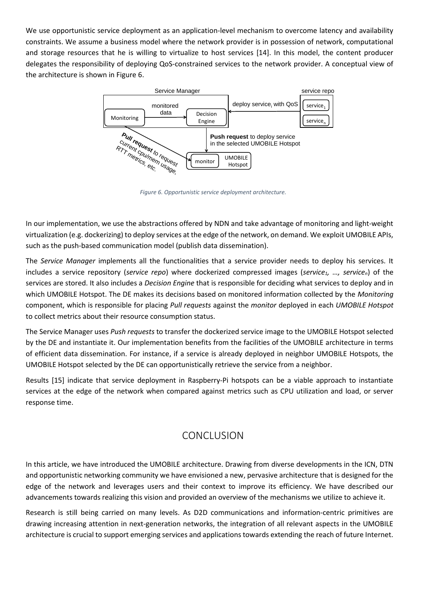We use opportunistic service deployment as an application-level mechanism to overcome latency and availability constraints. We assume a business model where the network provider is in possession of network, computational and storage resources that he is willing to virtualize to host services [14]. In this model, the content producer delegates the responsibility of deploying QoS-constrained services to the network provider. A conceptual view of the architecture is shown in Figure 6.



*Figure 6. Opportunistic service deployment architecture.*

In our implementation, we use the abstractions offered by NDN and take advantage of monitoring and light-weight virtualization (e.g. dockerizing) to deploy services at the edge of the network, on demand. We exploit UMOBILE APIs, such as the push-based communication model (publish data dissemination).

The *Service Manager* implements all the functionalities that a service provider needs to deploy his services. It includes a service repository (*service repo*) where dockerized compressed images (*service1, …, servicen*) of the services are stored. It also includes a *Decision Engine* that is responsible for deciding what services to deploy and in which UMOBILE Hotspot. The DE makes its decisions based on monitored information collected by the *Monitoring* component, which is responsible for placing *Pull requests* against the *monitor* deployed in each *UMOBILE Hotspot* to collect metrics about their resource consumption status.

The Service Manager uses *Push requests* to transfer the dockerized service image to the UMOBILE Hotspot selected by the DE and instantiate it. Our implementation benefits from the facilities of the UMOBILE architecture in terms of efficient data dissemination. For instance, if a service is already deployed in neighbor UMOBILE Hotspots, the UMOBILE Hotspot selected by the DE can opportunistically retrieve the service from a neighbor.

Results [15] indicate that service deployment in Raspberry-Pi hotspots can be a viable approach to instantiate services at the edge of the network when compared against metrics such as CPU utilization and load, or server response time.

# **CONCLUSION**

In this article, we have introduced the UMOBILE architecture. Drawing from diverse developments in the ICN, DTN and opportunistic networking community we have envisioned a new, pervasive architecture that is designed for the edge of the network and leverages users and their context to improve its efficiency. We have described our advancements towards realizing this vision and provided an overview of the mechanisms we utilize to achieve it.

Research is still being carried on many levels. As D2D communications and information-centric primitives are drawing increasing attention in next-generation networks, the integration of all relevant aspects in the UMOBILE architecture is crucial to support emerging services and applications towards extending the reach of future Internet.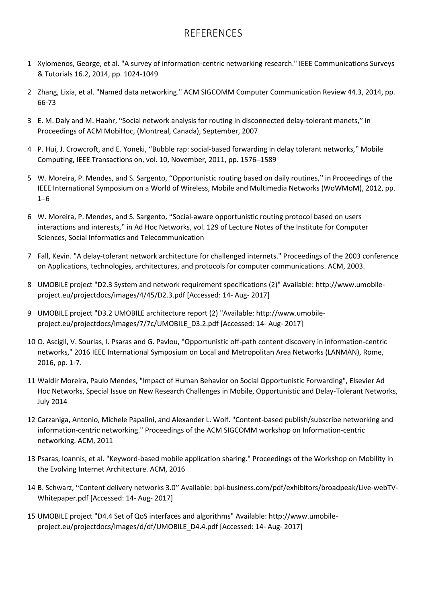# REFERENCES

- 1 Xylomenos, George, et al. "A survey of information-centric networking research." IEEE Communications Surveys & Tutorials 16.2, 2014, pp. 1024-1049
- 2 Zhang, Lixia, et al. "Named data networking." ACM SIGCOMM Computer Communication Review 44.3, 2014, pp. 66-73
- 3 E. M. Daly and M. Haahr, "Social network analysis for routing in disconnected delay-tolerant manets," in Proceedings of ACM MobiHoc, (Montreal, Canada), September, 2007
- 4 P. Hui, J. Crowcroft, and E. Yoneki, "Bubble rap: social-based forwarding in delay tolerant networks," Mobile Computing, IEEE Transactions on, vol. 10, November, 2011, pp. 1576–1589
- 5 W. Moreira, P. Mendes, and S. Sargento, "Opportunistic routing based on daily routines," in Proceedings of the IEEE International Symposium on a World of Wireless, Mobile and Multimedia Networks (WoWMoM), 2012, pp. 1–6
- 6 W. Moreira, P. Mendes, and S. Sargento, "Social-aware opportunistic routing protocol based on users interactions and interests," in Ad Hoc Networks, vol. 129 of Lecture Notes of the Institute for Computer Sciences, Social Informatics and Telecommunication
- 7 Fall, Kevin. "A delay-tolerant network architecture for challenged internets." Proceedings of the 2003 conference on Applications, technologies, architectures, and protocols for computer communications. ACM, 2003.
- 8 UMOBILE project "D2.3 System and network requirement specifications (2)" Available: http://www.umobileproject.eu/projectdocs/images/4/45/D2.3.pdf [Accessed: 14- Aug- 2017]
- 9 UMOBILE project "D3.2 UMOBILE architecture report (2) "Available: http://www.umobileproject.eu/projectdocs/images/7/7c/UMOBILE\_D3.2.pdf [Accessed: 14- Aug- 2017]
- 10 O. Ascigil, V. Sourlas, I. Psaras and G. Pavlou, "Opportunistic off-path content discovery in information-centric networks," 2016 IEEE International Symposium on Local and Metropolitan Area Networks (LANMAN), Rome, 2016, pp. 1-7.
- 11 Waldir Moreira, Paulo Mendes, "Impact of Human Behavior on Social Opportunistic Forwarding", Elsevier Ad Hoc Networks, Special Issue on New Research Challenges in Mobile, Opportunistic and Delay-Tolerant Networks, July 2014
- 12 Carzaniga, Antonio, Michele Papalini, and Alexander L. Wolf. "Content-based publish/subscribe networking and information-centric networking." Proceedings of the ACM SIGCOMM workshop on Information-centric networking. ACM, 2011
- 13 Psaras, Ioannis, et al. "Keyword-based mobile application sharing." Proceedings of the Workshop on Mobility in the Evolving Internet Architecture. ACM, 2016
- 14 B. Schwarz, "Content delivery networks 3.0" Available: bpl-business.com/pdf/exhibitors/broadpeak/Live-webTV-Whitepaper.pdf [Accessed: 14- Aug- 2017]
- 15 UMOBILE project "D4.4 Set of QoS interfaces and algorithms" Available: http://www.umobileproject.eu/projectdocs/images/d/df/UMOBILE\_D4.4.pdf [Accessed: 14- Aug- 2017]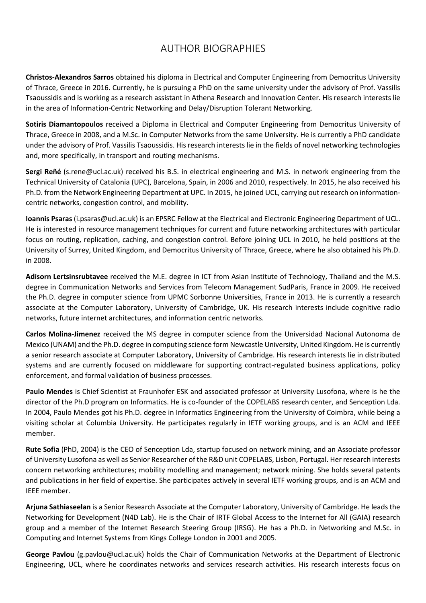# AUTHOR BIOGRAPHIES

**Christos-Alexandros Sarros** obtained his diploma in Electrical and Computer Engineering from Democritus University of Thrace, Greece in 2016. Currently, he is pursuing a PhD on the same university under the advisory of Prof. Vassilis Tsaoussidis and is working as a research assistant in Athena Research and Innovation Center. His research interests lie in the area of Information-Centric Networking and Delay/Disruption Tolerant Networking.

**Sotiris Diamantopoulos** received a Diploma in Electrical and Computer Engineering from Democritus University of Thrace, Greece in 2008, and a M.Sc. in Computer Networks from the same University. He is currently a PhD candidate under the advisory of Prof. Vassilis Tsaoussidis. His research interests lie in the fields of novel networking technologies and, more specifically, in transport and routing mechanisms.

**Sergi Reñé** (s.rene@ucl.ac.uk) received his B.S. in electrical engineering and M.S. in network engineering from the Technical University of Catalonia (UPC), Barcelona, Spain, in 2006 and 2010, respectively. In 2015, he also received his Ph.D. from the Network Engineering Department at UPC. In 2015, he joined UCL, carrying out research on informationcentric networks, congestion control, and mobility.

**Ioannis Psaras** (i.psaras@ucl.ac.uk) is an EPSRC Fellow at the Electrical and Electronic Engineering Department of UCL. He is interested in resource management techniques for current and future networking architectures with particular focus on routing, replication, caching, and congestion control. Before joining UCL in 2010, he held positions at the University of Surrey, United Kingdom, and Democritus University of Thrace, Greece, where he also obtained his Ph.D. in 2008.

**Adisorn Lertsinsrubtavee** received the M.E. degree in ICT from Asian Institute of Technology, Thailand and the M.S. degree in Communication Networks and Services from Telecom Management SudParis, France in 2009. He received the Ph.D. degree in computer science from UPMC Sorbonne Universities, France in 2013. He is currently a research associate at the Computer Laboratory, University of Cambridge, UK. His research interests include cognitive radio networks, future internet architectures, and information centric networks.

**Carlos Molina-Jimenez** received the MS degree in computer science from the Universidad Nacional Autonoma de Mexico (UNAM) and the Ph.D. degree in computing science form Newcastle University, United Kingdom. He is currently a senior research associate at Computer Laboratory, University of Cambridge. His research interests lie in distributed systems and are currently focused on middleware for supporting contract-regulated business applications, policy enforcement, and formal validation of business processes.

**Paulo Mendes** is Chief Scientist at Fraunhofer ESK and associated professor at University Lusofona, where is he the director of the Ph.D program on Informatics. He is co-founder of the COPELABS research center, and Senception Lda. In 2004, Paulo Mendes got his Ph.D. degree in Informatics Engineering from the University of Coimbra, while being a visiting scholar at Columbia University. He participates regularly in IETF working groups, and is an ACM and IEEE member.

**Rute Sofia** (PhD, 2004) is the CEO of Senception Lda, startup focused on network mining, and an Associate professor of University Lusofona as well as Senior Researcher of the R&D unit COPELABS, Lisbon, Portugal. Her research interests concern networking architectures; mobility modelling and management; network mining. She holds several patents and publications in her field of expertise. She participates actively in several IETF working groups, and is an ACM and IEEE member.

**Arjuna Sathiaseelan** is a Senior Research Associate at the Computer Laboratory, University of Cambridge. He leads the Networking for Development (N4D Lab). He is the Chair of IRTF Global Access to the Internet for All (GAIA) research group and a member of the Internet Research Steering Group (IRSG). He has a Ph.D. in Networking and M.Sc. in Computing and Internet Systems from Kings College London in 2001 and 2005.

**George Pavlou** (g.pavlou@ucl.ac.uk) holds the Chair of Communication Networks at the Department of Electronic Engineering, UCL, where he coordinates networks and services research activities. His research interests focus on